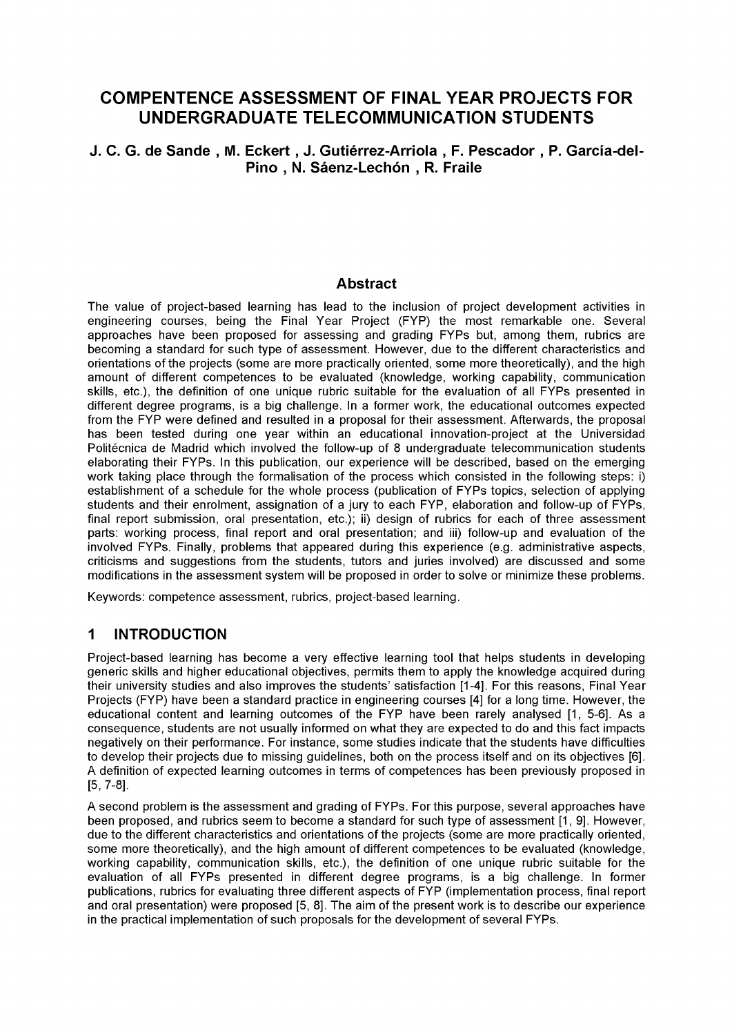# **COMPENTENCE ASSESSMENT OF FINAL YEAR PROJECTS FOR** UNDERGRADUATE TELECOMMUNICATION STUDENTS

J. C. G. de Sande, M. Eckert, J. Gutiérrez-Arriola, F. Pescador, P. García-del-Pino, N. Sáenz-Lechón, R. Fraile

#### **Abstract**

The value of project-based learning has lead to the inclusion of project development activities in engineering courses, being the Final Year Project (FYP) the most remarkable one. Several approaches have been proposed for assessing and grading FYPs but, among them, rubrics are becoming a standard for such type of assessment. However, due to the different characteristics and orientations of the projects (some are more practically oriented, some more theoretically), and the high amount of different competences to be evaluated (knowledge, working capability, communication skills, etc.), the definition of one unique rubric suitable for the evaluation of all FYPs presented in different degree programs, is a big challenge. In a former work, the educational outcomes expected from the FYP were defined and resulted in a proposal for their assessment. Afterwards, the proposal has been tested during one year within an educational innovation-project at the Universidad Politécnica de Madrid which involved the follow-up of 8 undergraduate telecommunication students elaborating their FYPs. In this publication, our experience will be described, based on the emerging work taking place through the formalisation of the process which consisted in the following steps: i) establishment of a schedule for the whole process (publication of FYPs topics, selection of applying students and their enrolment, assignation of a jury to each FYP, elaboration and follow-up of FYPs, final report submission, oral presentation, etc.); ii) design of rubrics for each of three assessment parts: working process, final report and oral presentation; and iii) follow-up and evaluation of the involved FYPs. Finally, problems that appeared during this experience (e.g. administrative aspects, criticisms and suggestions from the students, tutors and juries involved) are discussed and some modifications in the assessment system will be proposed in order to solve or minimize these problems.

Keywords: competence assessment, rubrics, project-based learning.

#### $\mathbf 1$ **INTRODUCTION**

Project-based learning has become a very effective learning tool that helps students in developing generic skills and higher educational objectives, permits them to apply the knowledge acquired during their university studies and also improves the students' satisfaction [1-4]. For this reasons, Final Year Projects (FYP) have been a standard practice in engineering courses [4] for a long time. However, the educational content and learning outcomes of the FYP have been rarely analysed [1, 5-6]. As a consequence, students are not usually informed on what they are expected to do and this fact impacts negatively on their performance. For instance, some studies indicate that the students have difficulties to develop their projects due to missing guidelines, both on the process itself and on its objectives [6]. A definition of expected learning outcomes in terms of competences has been previously proposed in  $[5, 7-8]$ .

A second problem is the assessment and grading of FYPs. For this purpose, several approaches have been proposed, and rubrics seem to become a standard for such type of assessment [1, 9]. However, due to the different characteristics and orientations of the projects (some are more practically oriented, some more theoretically), and the high amount of different competences to be evaluated (knowledge, working capability, communication skills, etc.), the definition of one unique rubric suitable for the evaluation of all FYPs presented in different degree programs, is a big challenge. In former publications, rubrics for evaluating three different aspects of FYP (implementation process, final report and oral presentation) were proposed [5, 8]. The aim of the present work is to describe our experience in the practical implementation of such proposals for the development of several FYPs.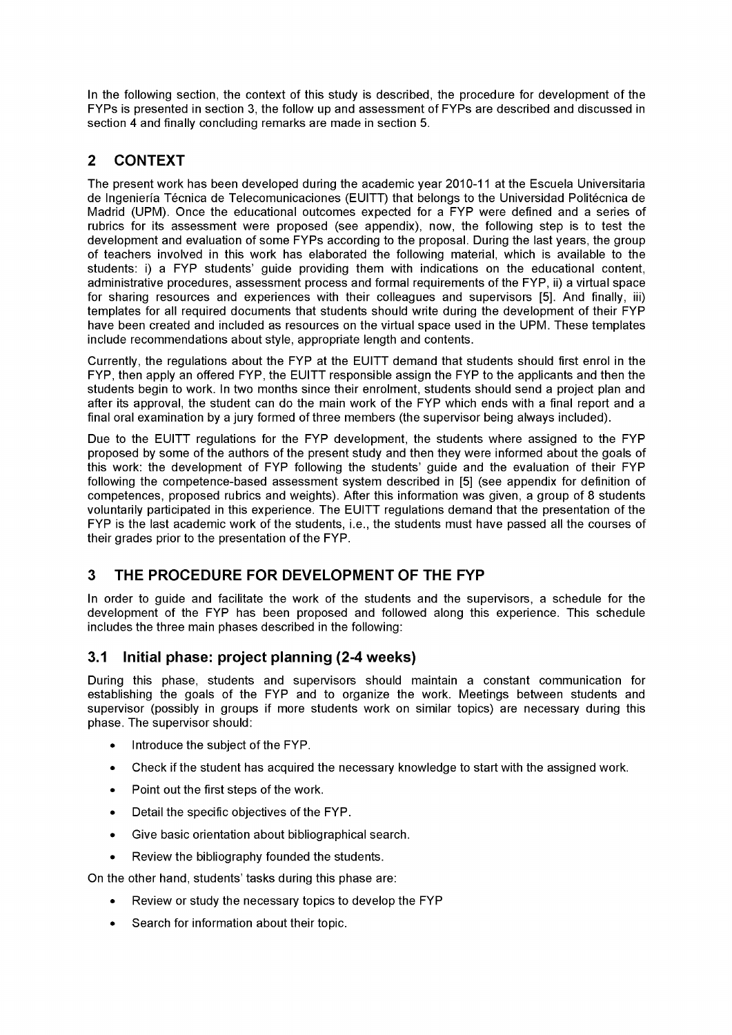In the following section, the context of this study is described, the procedure for development of the FYPs is presented in section 3, the follow up and assessment of FYPs are described and discussed in section 4 and finally concluding remarks are made in section 5.

# 2 CONTEXT

The present work has been developed during the academic year 2010-11 at the Escuela Universitaria de Ingeniería Técnica de Telecomunicaciones (EUITT) that belongs to the Universidad Politécnica de Madrid (UPM). Once the educational outcomes expected for a FYP were defined and a series of rubrics for its assessment were proposed (see appendix), now, the following step is to test the development and evaluation of some FYPs according to the proposal. During the last years, the group of teachers involved in this work has elaborated the following material, which is available to the students: i) a FYP students' guide providing them with indications on the educational contení, administrative procedures, assessment process and formal requirements of the FYP, ii) a virtual space for sharing resources and experiences with their colleagues and supervisors [5]. And finally, iii) templates for all required documents that students should write during the development of their FYP have been created and included as resources on the virtual space used in the UPM. These templates include recommendations about style, appropriate length and contents.

Currently, the regulations about the FYP at the EUITT demand that students should first enrol in the FYP, then apply an offered FYP, the EUITT responsible assign the FYP to the applicants and then the students begin to work. In two months since their enrolment, students should send a project plan and after its approval, the student can do the main work of the FYP which ends with a final report and a final oral examination by a jury formed of three members (the supervisor being always included).

Due to the EUITT regulations for the FYP development, the students where assigned to the FYP proposed by some of the authors of the present study and then they were informed about the goals of this work: the development of FYP following the students' guide and the evaluation of their FYP following the competence-based assessment system described in [5] (see appendix for definition of competences, proposed rubrics and weights). After this information was given, a group of 8 students voluntarily participated in this experience. The EUITT regulations demand that the presentation of the FYP is the last academic work of the students, i.e., the students must have passed all the courses of their grades prior to the presentation of the FYP.

# 3 THE PROCEDURE FOR DEVELOPMENT OF THE FYP

In order to guide and facilitate the work of the students and the supervisors, a schedule for the development of the FYP has been proposed and followed along this experience. This schedule includes the three main phases described in the following:

## 3.1 Initial phase: project planning (2-4 weeks)

During this phase, students and supervisors should maintain a constant communication for establishing the goals of the FYP and to organize the work. Meetings between students and supervisor (possibly in groups if more students work on similar topics) are necessary during this phase. The supervisor should:

- Introduce the subject of the FYP.
- Check if the student has acquired the necessary knowledge to start with the assigned work.
- Point out the first steps of the work.
- Detail the specific objectives of the FYP.
- Give basic orientation about bibliographical search.
- Review the bibliography founded the students.

On the other hand, students' tasks during this phase are:

- Review or study the necessary topics to develop the FYP
- Search for information about their topic.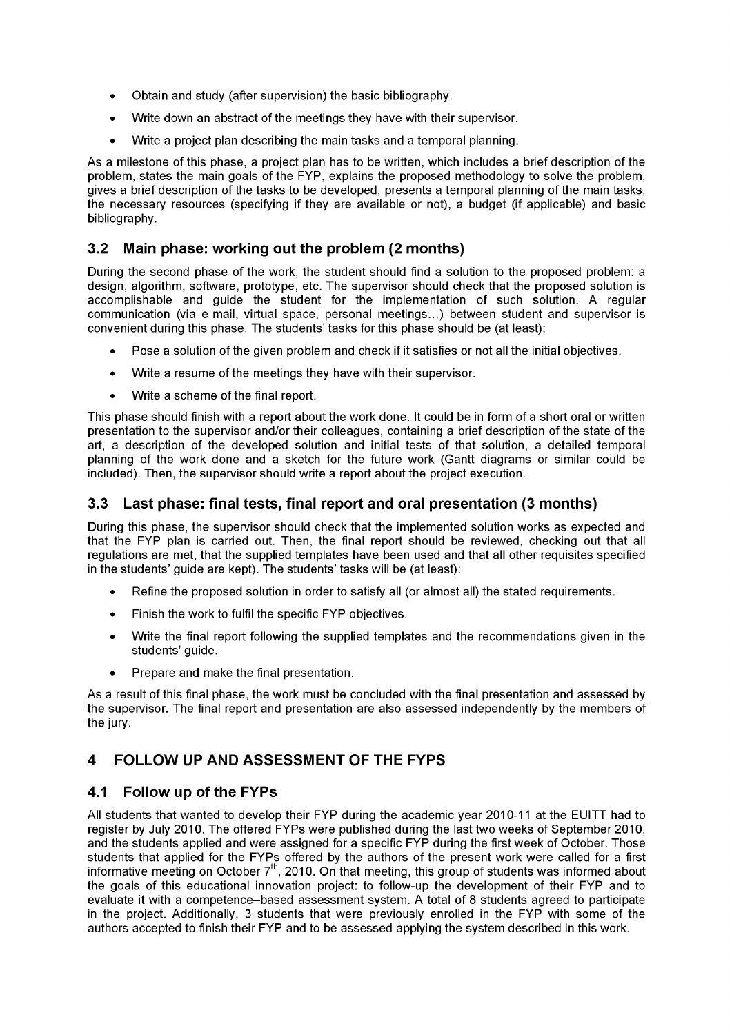- Obtain and study (after supervision) the basic bibliography.
- Write down an abstract of the meetings they have with their supervisor.
- Write a project plan describing the main tasks and a temporal planning.

As a milestone of this phase, a project plan has to be written, which includes a brief description of the problem, states the main goals of the FYP, explains the proposed methodology to solve the problem, gives a brief description of the tasks to be developed, presents a temporal planning of the main tasks, the necessary resources (specifying if they are available or not), a budget (if applicable) and basic bibliography.

## 3.2 Main phase: working out the problem (2 months)

During the second phase of the work, the student should find a solution to the proposed problem: a design, algorithm, software, prototype, etc. The supervisor should check that the proposed solution is accomplishable and guide the student for the implementation of such solution. A regular communication (via e-mail, virtual space, personal meetings...) between student and supervisor is convenient during this phase. The students' tasks for this phase should be (at least):

- Pose a solution of the given problem and check if it satisfies or not all the initial objectives.
- Write a resume of the meetings they have with their supervisor.
- Write a scheme of the final report.

This phase should finish with a report about the work done. It could be in form of a short oral or written presentation to the supervisor and/or their colleagues, containing a brief description of the state of the art, a description of the developed solution and initial tests of that solution, a detailed temporal planning of the work done and a sketch for the future work (Gantt diagrams or similar could be included). Then, the supervisor should write a report about the project execution.

#### 3.3 Last phase: final tests, final report and oral presentation (3 months)

During this phase, the supervisor should check that the implemented solution works as expected and that the FYP plan is carried out. Then, the final report should be reviewed, checking out that all regulations are met, that the supplied templates have been used and that all other requisites specified in the students' guide are kept). The students' tasks will be (at least):

- Refine the proposed solution in order to satisfy all (or almost all) the stated requirements.
- Finish the work to fulfil the specific FYP objectives.
- Write the final report following the supplied templates and the recommendations given in the students' guide.
- Prepare and make the final presentation.

As a result of this final phase, the work must be concluded with the final presentation and assessed by the supervisor. The final report and presentation are also assessed independently by the members of the jury.

# 4 FOLLOW UP AND ASSESSMENT OF THE FYPS

## 4.1 Follow up of the FYPs

All students that wanted to develop their FYP during the academic year 2010-11 at the EUITT had to register by July 2010. The offered FYPs were published during the last two weeks of September 2010, and the students applied and were assigned for a specific FYP during the first week of October. Those students that applied for the FYPs offered by the authors of the present work were called for a first informative meeting on October  $7<sup>th</sup>$ , 2010. On that meeting, this group of students was informed about the goals of this educational innovation project: to follow-up the development of their FYP and to evalúate it with a competence-based assessment system. A total of 8 students agreed to particípate in the project. Additionally, 3 students that were previously enrolled in the FYP with some of the authors accepted to finish their FYP and to be assessed applying the system described in this work.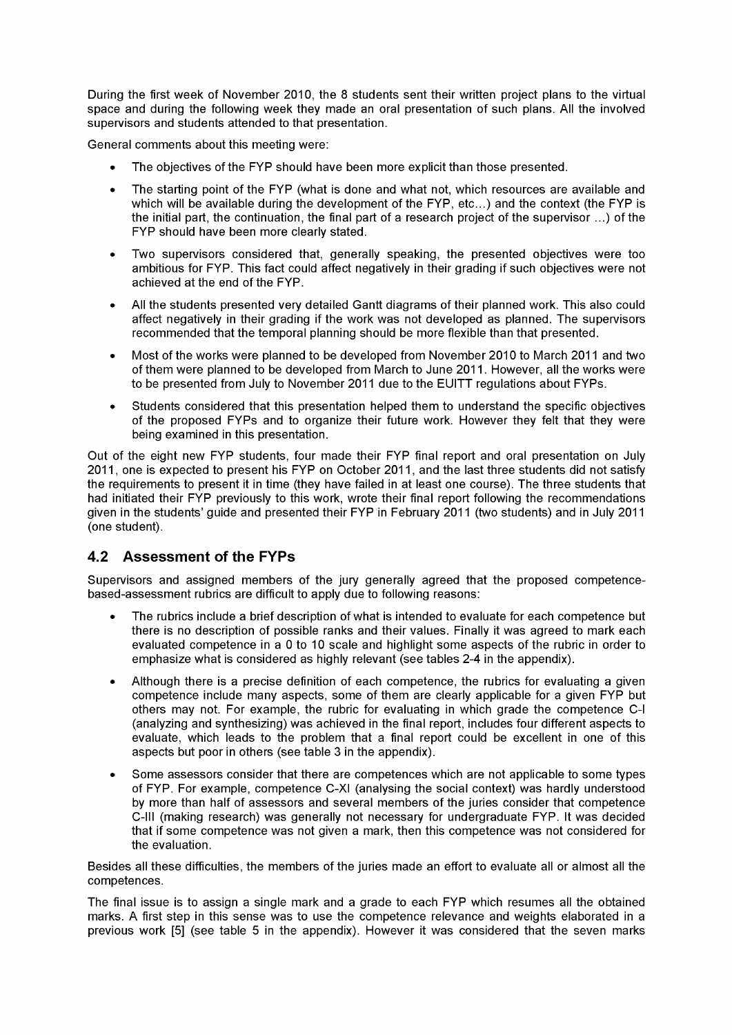During the first week of November 2010, the 8 students sent their written project plans to the virtual space and during the following week they made an oral presentation of such plans. All the involved supervisors and students attended to that presentation.

General comments about this meeting were:

- The objectives of the FYP should have been more explicit than those presented.
- The starting point of the FYP (what is done and what not, which resources are available and which will be available during the development of the FYP, etc..) and the context (the FYP is the initial part, the continuation, the final part of a research project of the supervisor ...) of the FYP should have been more clearly stated.
- Two supervisors considered that, generally speaking, the presented objectives were too ambitious for FYP. This fact could affect negatively in their grading if such objectives were not achieved at the end of the FYP.
- All the students presented very detailed Gantt diagrams of their planned work. This also could affect negatively in their grading if the work was not developed as planned. The supervisors recommended that the temporal planning should be more flexible than that presented.
- Most of the works were planned to be developed from November 2010 to March 2011 and two of them were planned to be developed from March to June 2011. However, all the works were to be presented from July to November 2011 due to the EUITT regulations about FYPs.
- Students considered that this presentation helped them to understand the specific objectives of the proposed FYPs and to organize their future work. However they felt that they were being examined in this presentation.

Out of the eight new FYP students, four made their FYP final report and oral presentation on July 2011, one is expected to present his FYP on October 2011, and the last three students did not satisfy the requirements to present it in time (they have failed in at least one course). The three students that had initiated their FYP previously to this work, wrote their final report following the recommendations given in the students' guide and presented their FYP in February 2011 (two students) and in July 2011 (one student).

## 4.2 Assessment of the FYPs

Supervisors and assigned members of the jury generally agreed that the proposed competencebased-assessment rubrics are difficult to apply due to following reasons:

- The rubrics include a brief description of what is intended to evaluate for each competence but there is no description of possible ranks and their values. Finally it was agreed to mark each evaluated competence in a 0 to 10 scale and highlight some aspects of the rubric in order to emphasize what is considered as highly relevant (see tables 2-4 in the appendix).
- Although there is a precise definition of each competence, the rubrics for evaluating a given competence include many aspects, some of them are clearly applicable for a given FYP but others may not. For example, the rubric for evaluating in which grade the competence C-l (analyzing and synthesizing) was achieved in the final report, includes four different aspects to evaluate, which leads to the problem that a final report could be excellent in one of this aspects but poor in others (see table 3 in the appendix).
- Some assessors consider that there are competences which are not applicable to some types of FYP. For example, competence C-XI (analysing the social context) was hardly understood by more than half of assessors and several members of the juries consider that competence C-lll (making research) was generally not necessary for undergraduate FYP. It was decided that if some competence was not given a mark, then this competence was not considered for the evaluation.

Besides all these difficulties, the members of the juries made an effort to evalúate all or almost all the competences.

The final issue is to assign a single mark and a grade to each FYP which resumes all the obtained marks. A first step in this sense was to use the competence relevance and weights elaborated in a previous work [5] (see table 5 in the appendix). However it was considered that the seven marks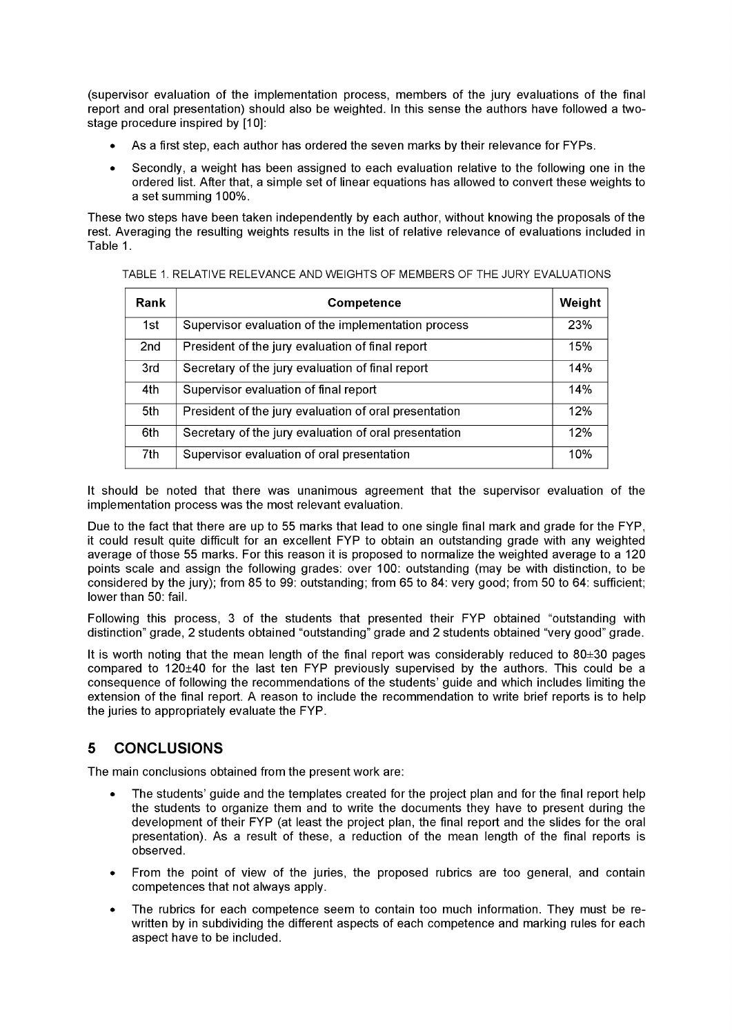(supervisor evaluation of the implementation process, members of the jury evaluations of the final report and oral presentation) should also be weighted. In this sense the authors have followed a twostage procedure inspired by [10]:

- As a first step, each author has ordered the seven marks by their relevance for FYPs.
- Secondly, a weight has been assigned to each evaluation relative to the following one in the ordered list. After that, a simple set of linear equations has allowed to convert these weights to a set summing 100%.

These two steps have been taken independently by each author, without knowing the proposals of the rest. Averaging the resulting weights results in the list of relative relevance of evaluations included in Table 1.

| Rank | <b>Competence</b>                                     | Weight |
|------|-------------------------------------------------------|--------|
| 1st  | Supervisor evaluation of the implementation process   | 23%    |
| 2nd  | President of the jury evaluation of final report      | 15%    |
| 3rd  | Secretary of the jury evaluation of final report      | 14%    |
| 4th  | Supervisor evaluation of final report                 | 14%    |
| 5th  | President of the jury evaluation of oral presentation | 12%    |
| 6th  | Secretary of the jury evaluation of oral presentation | 12%    |
| 7th  | Supervisor evaluation of oral presentation            | 10%    |

#### TABLE 1. RELATIVE RELEVANCE AND WEIGHTS OF MEMBERS OF THE JURY EVALUATIONS

It should be noted that there was unanimous agreement that the supervisor evaluation of the implementation process was the most relevant evaluation.

Due to the fact that there are up to 55 marks that lead to one single final mark and grade for the FYP, it could result quite difficult for an excellent FYP to obtain an outstanding grade with any weighted average of those 55 marks. For this reason it is proposed to normalize the weighted average to a 120 points scale and assign the following grades: over 100: outstanding (may be with distinction, to be considered by the jury); from 85 to 99: outstanding; from 65 to 84: very good; from 50 to 64: sufficient; lower than 50: fail.

Following this process, 3 of the students that presented their FYP obtained "outstanding with distinction" grade, 2 students obtained "outstanding" grade and 2 students obtained "very good" grade.

It is worth noting that the mean length of the final report was considerably reduced to 80±30 pages compared to 120±40 for the last ten FYP previously supervised by the authors. This could be a consequence of following the recommendations of the students' guide and which includes limiting the extensión of the final report. A reason to include the recommendation to write brief reports is to help the juries to appropriately evaluate the FYP.

# 5 CONCLUSIONS

The main conclusions obtained from the present work are:

- The students' guide and the templates created for the project plan and for the final report help the students to organize them and to write the documents they have to present during the development of their FYP (at least the project plan, the final report and the slides for the oral presentation). As a result of these, a reduction of the mean length of the final reports is observed.
- From the point of view of the juries, the proposed rubrics are too general, and contain competences that not always apply.
- The rubrics for each competence seem to contain too much information. They must be rewritten by in subdividing the different aspects of each competence and marking rules for each aspect have to be included.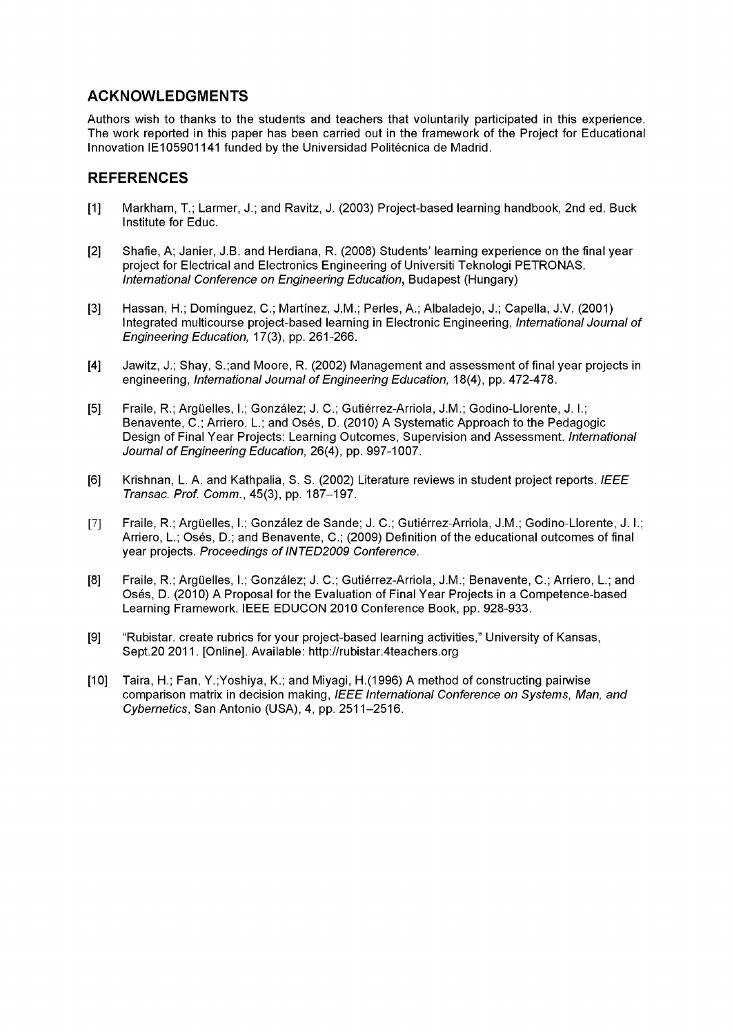## ACKNOWLEDGMENTS

Authors wish to thanks to the students and teachers that voluntarily participated in this experience. The work reported in this paper has been carried out in the framework of the Project for Educational Innovation IE105901141 funded by the Universidad Politécnica de Madrid.

#### **REFERENCES**

- [1] Markham, T.; Larmer, J.; and Ravitz, J. (2003) Project-based learning handbook, 2nd ed. Buck Institute for Educ.
- [2] Shafie, A; Janier, J.B. and Herdiana, R. (2008) Students' learning expenence on the final year project for Electrical and Electronics Engineering of Universiti Teknologi PETRONAS. International Conference on Engineering Education, Budapest (Hungary)
- [3] Hassan, H.; Domínguez, C; Martínez, J.M.; Perles, A.; Albaladejo, J.; Capella, J.V. (2001) Integrated multicourse project-based learning in Electronic Engineering, International Journal of Engineering Education, 17(3), pp. 261-266.
- [4] Jawitz, J.; Shay, S.;and Moore, R. (2002) Management and assessment of final year projects in engineering, International Journal of Engineering Education, 18(4), pp. 472-478.
- [5] Fraile, R.; Argüelles, I.; González; J. C.; Gutiérrez-Arriola, J.M.; Godino-Llorente, J. I.; Benavente, C.; Arriero, L.; and Osés, D. (2010) A Systematic Approach to the Pedagogic Design of Final Year Projects: Learning Outcomes, Supervision and Assessment. International Journal of Engineering Education, 26(4), pp. 997-1007.
- [6] Krishnan, L. A. and Kathpalia, S. S. (2002) Literature reviews in student project reports. IEEE Transac. Prof. Comm., 45(3), pp. 187-197.
- [7] Fraile, R.; Arguelles, I.; González de Sande; J. C; Gutiérrez-Arrióla, J.M.; Godino-Llorente, J. I.; Arriero, L.; Osés, D.; and Benavente, C.; (2009) Definition of the educational outcomes of final year projects. Proceedings of INTED2009 Conference.
- [8] Fraile, R.; Argüelles, I.; González; J. C.; Gutiérrez-Arriola, J.M.; Benavente, C.; Arriero, L.; and Oses, D. (2010) A Proposal for the Evaluation of Final Year Projects in a Competence-based Learning Framework. IEEE EDUCON 2010 Conference Book, pp. 928-933.
- [9] "Rubistar. créate rubrics for your project-based learning activities," University of Kansas, Sept.20 2011. [Online]. Available: <http://rubistar.4teachers.org>
- [10] Taira, H.; Fan, Y.; Yoshiya, K.; and Miyagi, H.(1996) A method of constructing pairwise comparison matrix in decision making, IEEE International Conference on Systems, Man, and Cybernetics, San Antonio (USA), 4, pp. 2511-2516.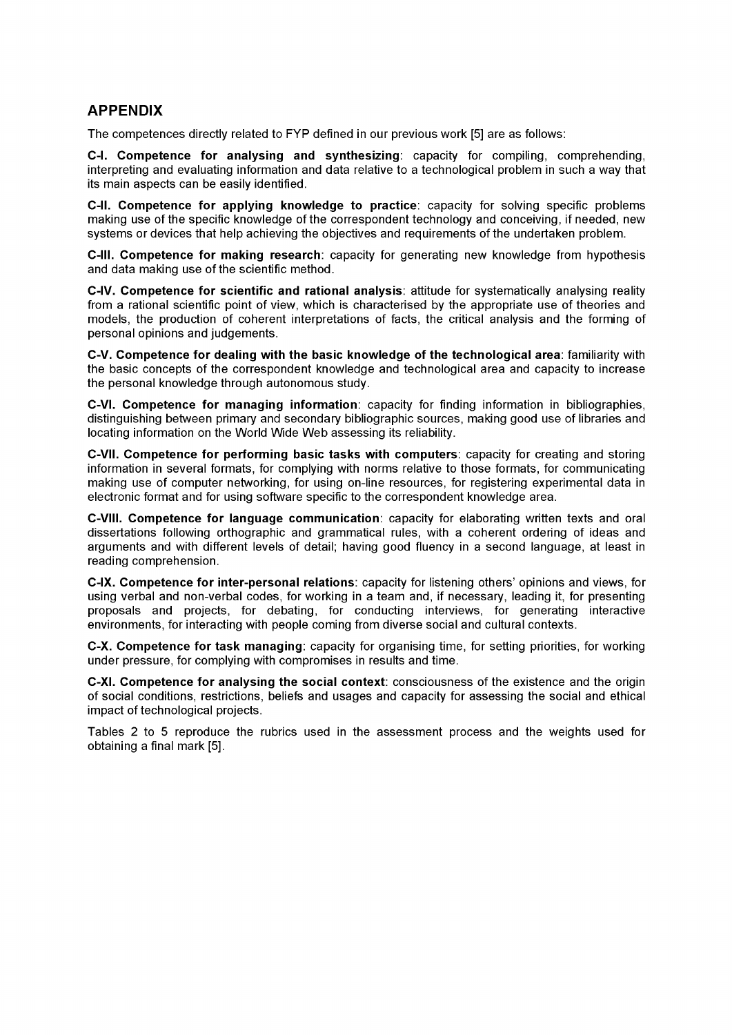## **APPENDIX**

The competences directly related to FYP defined in our previous work [5] are as follows:

**C-l. Competence for analysing and synthesizing:** capacity for compiling, comprehending, interpreting and evaluating information and data relative to a technological problem in such a way that its main aspects can be easily identified.

**C-ll. Competence for applying knowledge to practice:** capacity for solving specific problems making use of the specific knowledge ofthe correspondent technology and conceiving, if needed, new systems or devices that help achieving the objectives and requirements of the undertaken problem.

**C-lll. Competence for making research:** capacity for generating new knowledge from hypothesis and data making use of the scientific method.

**C-IV. Competence for scientific and rational analysis:** attitude for systematically analysing reality from a rational scientific point of view, which is characterised by the appropriate use of theories and models, the production of coherent interpretations of facts, the critical analysis and the forming of personal opinions and judgements.

**C-V. Competence for dealing with the basic knowledge of the technological área:** familiarity with the basic concepts of the correspondent knowledge and technological area and capacity to increase the personal knowledge through autonomous study.

**C-VI. Competence for managing information:** capacity for finding information in bibliographies, distinguishing between primary and secondary bibliographic sources, making good use of libraries and locating information on the World Wide Web assessing its reliability.

**C-VII. Competence for performing basic tasks with computers:** capacity for creating and storing information in several formats, for complying with norms relative to those formats, for communicating making use of computer networking, for using on-line resources, for registering experimental data in electronic format and for using software specific to the correspondent knowledge area.

**C-VIII. Competence for language communication:** capacity for elaborating written texts and oral dissertations following orthographic and grammatical rules, with a coherent ordering of ideas and arguments and with different levels of detail; having good fluency in a second language, at least in reading comprehension.

**C-IX. Competence for inter-personal relations:** capacity for listening others' opinions and views, for using verbal and non-verbal codes, for working in a team and, if necessary, leading it, for presenting proposals and projects, for debating, for conducting interviews, for generating interactive environments, for interacting with people coming from diverse social and cultural contexts.

**C-X. Competence for task managing:** capacity for organising time, for setting priorities, for working under pressure, for complying with compromises in results and time.

**C-XI. Competence for analysing the social context:** consciousness ofthe existence and the origin of social conditions, restrictions, beliefs and usages and capacity for assessing the social and ethical impact of technological projects.

Tables 2 to 5 reproduce the rubrics used in the assessment process and the weights used for obtaining a final mark [5].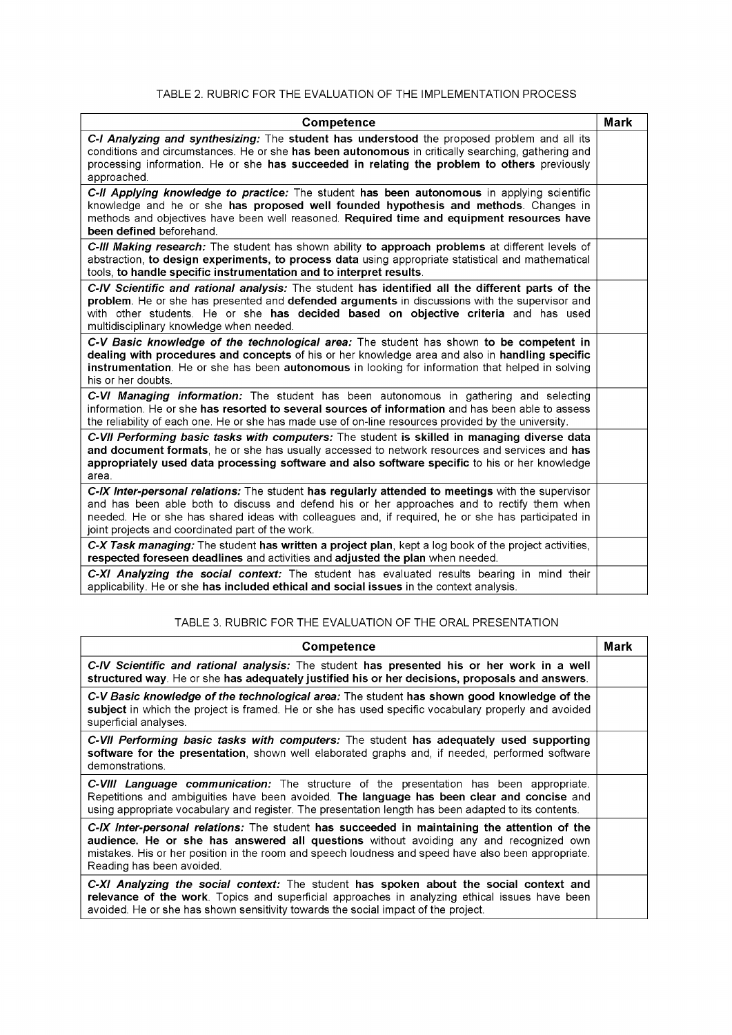#### TABLE 2. RUBRIC FOR THE EVALUATION OF THE IMPLEMENTATION PROCESS

| Competence                                                                                                                                                                                                                                                                                                                                                 | <b>Mark</b> |
|------------------------------------------------------------------------------------------------------------------------------------------------------------------------------------------------------------------------------------------------------------------------------------------------------------------------------------------------------------|-------------|
| C-I Analyzing and synthesizing: The student has understood the proposed problem and all its<br>conditions and circumstances. He or she has been autonomous in critically searching, gathering and<br>processing information. He or she has succeeded in relating the problem to others previously<br>approached.                                           |             |
| C-II Applying knowledge to practice: The student has been autonomous in applying scientific<br>knowledge and he or she has proposed well founded hypothesis and methods. Changes in<br>methods and objectives have been well reasoned. Required time and equipment resources have<br>been defined beforehand.                                              |             |
| C-III Making research: The student has shown ability to approach problems at different levels of<br>abstraction, to design experiments, to process data using appropriate statistical and mathematical<br>tools, to handle specific instrumentation and to interpret results.                                                                              |             |
| C-IV Scientific and rational analysis: The student has identified all the different parts of the<br>problem. He or she has presented and defended arguments in discussions with the supervisor and<br>with other students. He or she has decided based on objective criteria and has used<br>multidisciplinary knowledge when needed.                      |             |
| C-V Basic knowledge of the technological area: The student has shown to be competent in<br>dealing with procedures and concepts of his or her knowledge area and also in handling specific<br>instrumentation. He or she has been autonomous in looking for information that helped in solving<br>his or her doubts.                                       |             |
| C-VI Managing information: The student has been autonomous in gathering and selecting<br>information. He or she has resorted to several sources of information and has been able to assess<br>the reliability of each one. He or she has made use of on-line resources provided by the university.                                                         |             |
| C-VII Performing basic tasks with computers: The student is skilled in managing diverse data<br>and document formats, he or she has usually accessed to network resources and services and has<br>appropriately used data processing software and also software specific to his or her knowledge<br>area.                                                  |             |
| C-IX Inter-personal relations: The student has regularly attended to meetings with the supervisor<br>and has been able both to discuss and defend his or her approaches and to rectify them when<br>needed. He or she has shared ideas with colleagues and, if required, he or she has participated in<br>joint projects and coordinated part of the work. |             |
| C-X Task managing: The student has written a project plan, kept a log book of the project activities,<br>respected foreseen deadlines and activities and adjusted the plan when needed.                                                                                                                                                                    |             |
| C-XI Analyzing the social context: The student has evaluated results bearing in mind their<br>applicability. He or she has included ethical and social issues in the context analysis.                                                                                                                                                                     |             |

#### TABLE 3. RUBRIC FOR THE EVALUATION OF THE ORAL PRESENTATION

| <b>Competence</b>                                                                                                                                                                                                                                                                                                          | Mark |
|----------------------------------------------------------------------------------------------------------------------------------------------------------------------------------------------------------------------------------------------------------------------------------------------------------------------------|------|
| C-IV Scientific and rational analysis: The student has presented his or her work in a well<br>structured way. He or she has adequately justified his or her decisions, proposals and answers.                                                                                                                              |      |
| C-V Basic knowledge of the technological area: The student has shown good knowledge of the<br>subject in which the project is framed. He or she has used specific vocabulary properly and avoided<br>superficial analyses.                                                                                                 |      |
| C-VII Performing basic tasks with computers: The student has adequately used supporting<br>software for the presentation, shown well elaborated graphs and, if needed, performed software<br>demonstrations.                                                                                                               |      |
| C-VIII Language communication: The structure of the presentation has been appropriate.<br>Repetitions and ambiguities have been avoided. The language has been clear and concise and<br>using appropriate vocabulary and register. The presentation length has been adapted to its contents.                               |      |
| C-IX Inter-personal relations: The student has succeeded in maintaining the attention of the<br>audience. He or she has answered all questions without avoiding any and recognized own<br>mistakes. His or her position in the room and speech loudness and speed have also been appropriate.<br>Reading has been avoided. |      |
| C-XI Analyzing the social context: The student has spoken about the social context and<br>relevance of the work. Topics and superficial approaches in analyzing ethical issues have been<br>avoided. He or she has shown sensitivity towards the social impact of the project.                                             |      |